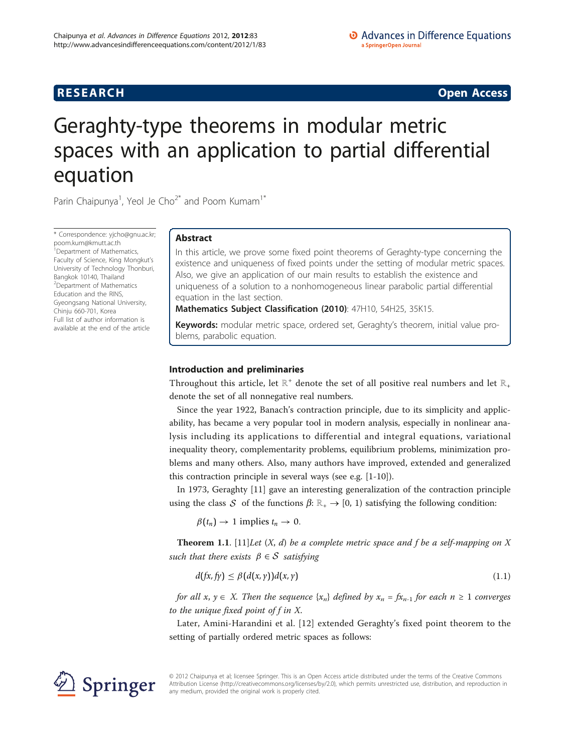# **RESEARCH CONSTRUCTION CONSTRUCTS**

# Geraghty-type theorems in modular metric spaces with an application to partial differential equation

Parin Chaipunya<sup>1</sup>, Yeol Je Cho<sup>2\*</sup> and Poom Kumam<sup>1\*</sup>

\* Correspondence: [yjcho@gnu.ac.kr;](mailto:yjcho@gnu.ac.kr) [poom.kum@kmutt.ac.th](mailto:poom.kum@kmutt.ac.th) <sup>1</sup> Department of Mathematics, Faculty of Science, King Mongkut's University of Technology Thonburi, Bangkok 10140, Thailand 2 Department of Mathematics Education and the RINS, Gyeongsang National University, Chinju 660-701, Korea Full list of author information is available at the end of the article

# Abstract

In this article, we prove some fixed point theorems of Geraghty-type concerning the existence and uniqueness of fixed points under the setting of modular metric spaces. Also, we give an application of our main results to establish the existence and uniqueness of a solution to a nonhomogeneous linear parabolic partial differential equation in the last section.

Mathematics Subject Classification (2010): 47H10, 54H25, 35K15.

Keywords: modular metric space, ordered set, Geraghty's theorem, initial value problems, parabolic equation.

# Introduction and preliminaries

Throughout this article, let  $\mathbb{R}^+$  denote the set of all positive real numbers and let  $\mathbb{R}_+$ denote the set of all nonnegative real numbers.

Since the year 1922, Banach's contraction principle, due to its simplicity and applicability, has became a very popular tool in modern analysis, especially in nonlinear analysis including its applications to differential and integral equations, variational inequality theory, complementarity problems, equilibrium problems, minimization problems and many others. Also, many authors have improved, extended and generalized this contraction principle in several ways (see e.g. [[1-10\]](#page-10-0)).

In 1973, Geraghty [\[11](#page-10-0)] gave an interesting generalization of the contraction principle using the class *S* of the functions  $\beta: \mathbb{R}_+ \to [0, 1)$  satisfying the following condition:

 $\beta(t_n) \rightarrow 1$  implies  $t_n \rightarrow 0$ .

**Theorem 1.1.** [\[11](#page-10-0)] Let  $(X, d)$  be a complete metric space and f be a self-mapping on X such that there exists  $\beta \in S$  satisfying

$$
d(fx, f y) \leq \beta(d(x, y))d(x, y) \tag{1.1}
$$

for all  $x, y \in X$ . Then the sequence  $\{x_n\}$  defined by  $x_n = fx_{n-1}$  for each  $n \geq 1$  converges to the unique fixed point of  $f$  in  $X$ .

Later, Amini-Harandini et al. [[12](#page-10-0)] extended Geraghty's fixed point theorem to the setting of partially ordered metric spaces as follows:



© 2012 Chaipunya et al; licensee Springer. This is an Open Access article distributed under the terms of the Creative Commons Attribution License [\(http://creativecommons.org/licenses/by/2.0](http://creativecommons.org/licenses/by/2.0)), which permits unrestricted use, distribution, and reproduction in any medium, provided the original work is properly cited.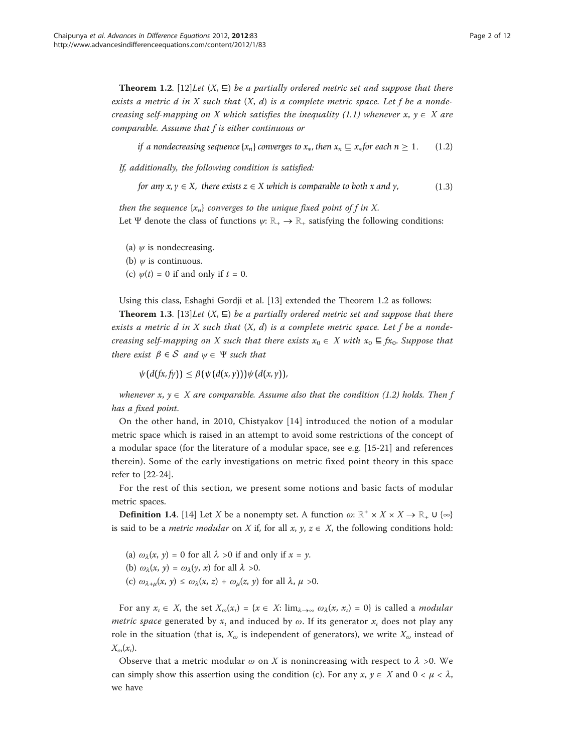**Theorem 1.2.** [[12\]](#page-10-0)Let  $(X, \subseteq)$  be a partially ordered metric set and suppose that there exists a metric d in X such that  $(X, d)$  is a complete metric space. Let f be a nondecreasing self-mapping on X which satisfies the inequality (1.1) whenever  $x, y \in X$  are comparable. Assume that f is either continuous or

*if a nondecreasing sequence*  $\{x_n\}$  *converges to*  $x_*,$  *then*  $x_n \subseteq x_*$  *for each n*  $\geq 1$ . (1.2)

If, additionally, the following condition is satisfied:

*for any*  $x, y \in X$ *, there exists*  $z \in X$  *which is comparable to both x and y*, (1.3)

then the sequence  $\{x_n\}$  converges to the unique fixed point of f in X. Let Ψ denote the class of functions  $\psi: \mathbb{R}_+ \to \mathbb{R}_+$  satisfying the following conditions:

- (a)  $\psi$  is nondecreasing.
- (b)  $\psi$  is continuous.
- (c)  $\psi(t) = 0$  if and only if  $t = 0$ .

Using this class, Eshaghi Gordji et al. [[13\]](#page-10-0) extended the Theorem 1.2 as follows:

**Theorem 1.3.** [[13\]](#page-10-0)Let  $(X, \subseteq)$  be a partially ordered metric set and suppose that there exists a metric d in X such that  $(X, d)$  is a complete metric space. Let f be a nondecreasing self-mapping on X such that there exists  $x_0 \in X$  with  $x_0 \sqsubseteq fx_0$ . Suppose that there exist  $\beta \in S$  and  $\psi \in \Psi$  such that

 $\psi$ ( $d(fx, fy)$ )  $\leq \beta$ ( $\psi$ ( $d(x, y)$ )) $\psi$ ( $d(x, y)$ ),

whenever  $x, y \in X$  are comparable. Assume also that the condition (1.2) holds. Then f has a fixed point.

On the other hand, in 2010, Chistyakov [[14\]](#page-10-0) introduced the notion of a modular metric space which is raised in an attempt to avoid some restrictions of the concept of a modular space (for the literature of a modular space, see e.g. [\[15](#page-10-0)-[21\]](#page-11-0) and references therein). Some of the early investigations on metric fixed point theory in this space refer to [\[22](#page-11-0)-[24\]](#page-11-0).

For the rest of this section, we present some notions and basic facts of modular metric spaces.

**Definition 1.4.** [[14](#page-10-0)] Let X be a nonempty set. A function  $\omega: \mathbb{R}^+ \times X \times X \to \mathbb{R}_+ \cup \{ \infty \}$ is said to be a *metric modular* on X if, for all x,  $y$ ,  $z \in X$ , the following conditions hold:

- (a)  $\omega_{\lambda}(x, y) = 0$  for all  $\lambda > 0$  if and only if  $x = y$ .
- (b)  $\omega_{\lambda}(x, y) = \omega_{\lambda}(y, x)$  for all  $\lambda > 0$ .
- (c)  $\omega_{\lambda+\mu}(x, y) \leq \omega_{\lambda}(x, z) + \omega_{\mu}(z, y)$  for all  $\lambda, \mu > 0$ .

For any  $x_i \in X$ , the set  $X_{\omega}(x_i) = \{x \in X: \lim_{\lambda \to \infty} \omega_{\lambda}(x_i, x_i) = 0\}$  is called a *modular metric space* generated by  $x_i$  and induced by  $\omega$ . If its generator  $x_i$  does not play any role in the situation (that is,  $X_{\omega}$  is independent of generators), we write  $X_{\omega}$  instead of  $X_{\omega}(x_i)$ .

Observe that a metric modular  $\omega$  on X is nonincreasing with respect to  $\lambda >0$ . We can simply show this assertion using the condition (c). For any  $x, y \in X$  and  $0 < \mu < \lambda$ , we have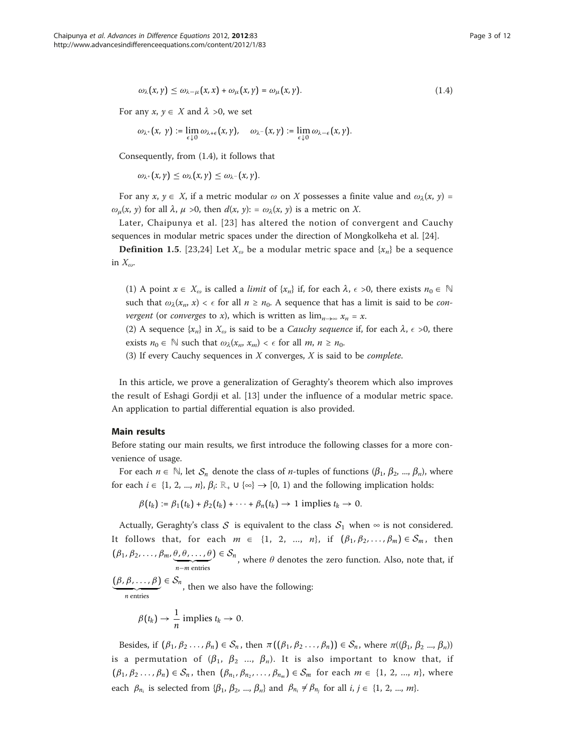$$
\omega_{\lambda}(x,\gamma) \leq \omega_{\lambda-\mu}(x,x) + \omega_{\mu}(x,\gamma) = \omega_{\mu}(x,\gamma). \tag{1.4}
$$

For any  $x, y \in X$  and  $\lambda >0$ , we set

$$
\omega_{\lambda^+}\big(x,\; \gamma \big) := \lim_{\epsilon \downarrow 0} \omega_{\lambda + \epsilon}\big(x,\gamma\big), \quad \omega_{\lambda^-}\big(x,\gamma \big) := \lim_{\epsilon \downarrow 0} \omega_{\lambda - \epsilon}\big(x,\gamma \big).
$$

Consequently, from (1.4), it follows that

 $\omega_{\lambda}$ + $(x, y) \leq \omega_{\lambda}$  $(x, y) \leq \omega_{\lambda}$ - $(x, y)$ .

For any  $x, y \in X$ , if a metric modular  $\omega$  on X possesses a finite value and  $\omega_\lambda(x, y) =$  $\omega_{\mu}(x, y)$  for all  $\lambda, \mu > 0$ , then  $d(x, y)$ : =  $\omega_{\lambda}(x, y)$  is a metric on X.

Later, Chaipunya et al. [[23](#page-11-0)] has altered the notion of convergent and Cauchy sequences in modular metric spaces under the direction of Mongkolkeha et al. [\[24\]](#page-11-0).

**Definition 1.5.** [\[23,24](#page-11-0)] Let  $X_{\omega}$  be a modular metric space and  $\{x_n\}$  be a sequence in  $X_{\omega}$ .

(1) A point  $x \in X_\omega$  is called a *limit* of  $\{x_n\}$  if, for each  $\lambda$ ,  $\epsilon > 0$ , there exists  $n_0 \in \mathbb{N}$ such that  $\omega_{\lambda}(x_n, x) < \epsilon$  for all  $n \ge n_0$ . A sequence that has a limit is said to be *con*vergent (or converges to x), which is written as  $\lim_{n\to\infty} x_n = x$ .

(2) A sequence  $\{x_n\}$  in  $X_\omega$  is said to be a *Cauchy sequence* if, for each  $\lambda$ ,  $\epsilon > 0$ , there exists  $n_0 \in \mathbb{N}$  such that  $\omega_\lambda(x_n, x_m) < \epsilon$  for all  $m, n \ge n_0$ .

(3) If every Cauchy sequences in  $X$  converges,  $X$  is said to be *complete*.

In this article, we prove a generalization of Geraghty's theorem which also improves the result of Eshagi Gordji et al. [[13](#page-10-0)] under the influence of a modular metric space. An application to partial differential equation is also provided.

# Main results

Before stating our main results, we first introduce the following classes for a more convenience of usage.

For each  $n \in \mathbb{N}$ , let  $S_n$  denote the class of *n*-tuples of functions ( $\beta_1, \beta_2, ..., \beta_n$ ), where for each  $i \in \{1, 2, ..., n\}, \beta_i: \mathbb{R}_+ \cup \{\infty\} \to [0, 1)$  and the following implication holds:

 $\beta(t_k) := \beta_1(t_k) + \beta_2(t_k) + \cdots + \beta_n(t_k) \rightarrow 1$  implies  $t_k \rightarrow 0$ .

Actually, Geraghty's class *S* is equivalent to the class  $S_1$  when  $\infty$  is not considered. It follows that, for each  $m \in \{1, 2, ..., n\}$ , if  $(\beta_1, \beta_2, ..., \beta_m) \in S_m$ , then  $(\beta_1, \beta_2, \ldots, \beta_m, \theta, \theta, \ldots, \theta)$ - *<sup>n</sup>*−*<sup>m</sup>* entries  $(\theta) \in S_n$ , where  $\theta$  denotes the zero function. Also, note that, if  $(\beta, \beta, \ldots, \beta)$ - *<sup>n</sup>* entries  $\epsilon \in S_n$ , then we also have the following:

$$
\beta(t_k)\to \frac{1}{n}\text{ implies }t_k\to 0.
$$

Besides, if  $(\beta_1, \beta_2, ..., \beta_n) \in S_n$ , then  $\pi((\beta_1, \beta_2, ..., \beta_n)) \in S_n$ , where  $\pi((\beta_1, \beta_2, ..., \beta_n))$ is a permutation of  $(\beta_1, \beta_2, ..., \beta_n)$ . It is also important to know that, if  $(\beta_1, \beta_2, \ldots, \beta_n) \in S_n$ , then  $(\beta_{n_1}, \beta_{n_2}, \ldots, \beta_{n_m}) \in S_m$  for each  $m \in \{1, 2, \ldots, n\}$ , where each  $\beta_{n_i}$  is selected from  $\{\beta_1, \beta_2, ..., \beta_n\}$  and  $\beta_{n_i} \neq \beta_{n_j}$  for all  $i, j \in \{1, 2, ..., m\}$ .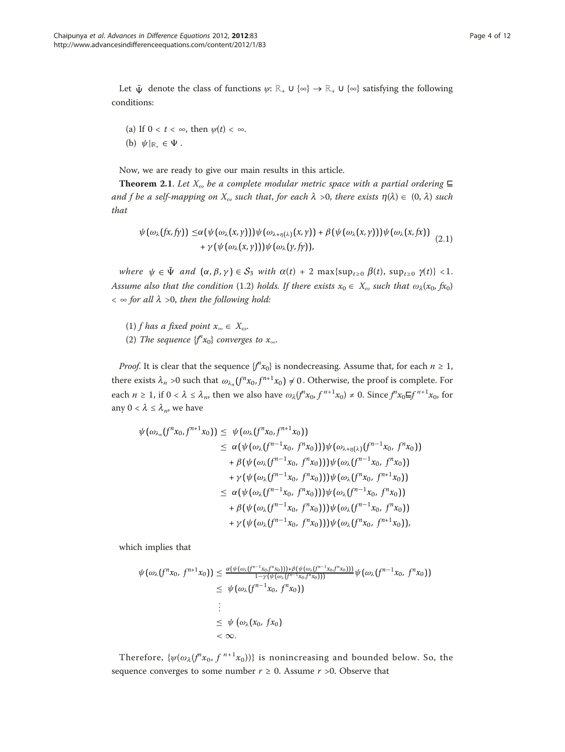Let  $\bar{\Psi}$  denote the class of functions  $\psi: \mathbb{R}_+ \cup {\infty} \rightarrow \mathbb{R}_+ \cup {\infty}$  satisfying the following conditions:

(a) If  $0 < t < \infty$ , then  $\psi(t) < \infty$ . (b)  $\psi|_{\mathbb{R}_+} \in \Psi$ .

Now, we are ready to give our main results in this article.

**Theorem 2.1.** Let  $X_{\omega}$  be a complete modular metric space with a partial ordering  $\boldsymbol{\Xi}$ and f be a self-mapping on  $X_{\omega}$  such that, for each  $\lambda > 0$ , there exists  $\eta(\lambda) \in (0, \lambda)$  such that

$$
\psi(\omega_{\lambda}(fx,fy)) \leq \alpha(\psi(\omega_{\lambda}(x,y)))\psi(\omega_{\lambda+\eta(\lambda)}(x,y)) + \beta(\psi(\omega_{\lambda}(x,y)))\psi(\omega_{\lambda}(x,fx)) + \gamma(\psi(\omega_{\lambda}(x,y)))\psi(\omega_{\lambda}(y,fy)), \qquad (2.1)
$$

where  $\psi \in \bar{\Psi}$  and  $(\alpha, \beta, \gamma) \in S_3$  with  $\alpha(t) + 2 \max\{\sup_{t\geq 0} \beta(t), \sup_{t\geq 0} \gamma(t)\} < 1$ . Assume also that the condition (1.2) holds. If there exists  $x_0 \in X_\omega$  such that  $\omega_\lambda(x_0, fx_0)$  $< \infty$  for all  $\lambda > 0$ , then the following hold:

(1) f has a fixed point  $x_{\infty} \in X_{\omega}$ . (2) The sequence  $\{f^nx_0\}$  converges to  $x_\infty$ .

*Proof.* It is clear that the sequence  $\{f''x_0\}$  is nondecreasing. Assume that, for each  $n \geq 1$ , there exists  $\lambda_n > 0$  such that  $\omega_{\lambda_n}(f^n x_0, f^{n+1} x_0) \neq 0$ . Otherwise, the proof is complete. For each  $n \ge 1$ , if  $0 < \lambda \le \lambda_n$ , then we also have  $\omega_\lambda(f^n x_0, f^{n+1} x_0) \ne 0$ . Since  $f^n x_0 \equiv f^{n+1} x_0$ , for any  $0 < \lambda \leq \lambda_n$ , we have

$$
\psi(\omega_{\lambda_n}(f^n x_0, f^{n+1} x_0)) \leq \psi(\omega_{\lambda}(f^n x_0, f^{n+1} x_0)) \n\leq \alpha(\psi(\omega_{\lambda}(f^{n-1} x_0, f^n x_0)))\psi(\omega_{\lambda + \eta(\lambda)}(f^{n-1} x_0, f^n x_0)) \n+ \beta(\psi(\omega_{\lambda}(f^{n-1} x_0, f^n x_0)))\psi(\omega_{\lambda}(f^{n-1} x_0, f^n x_0)) \n+ \gamma(\psi(\omega_{\lambda}(f^{n-1} x_0, f^n x_0)))\psi(\omega_{\lambda}(f^n x_0, f^{n+1} x_0)) \n\leq \alpha(\psi(\omega_{\lambda}(f^{n-1} x_0, f^n x_0)))\psi(\omega_{\lambda}(f^{n-1} x_0, f^n x_0)) \n+ \beta(\psi(\omega_{\lambda}(f^{n-1} x_0, f^n x_0)))\psi(\omega_{\lambda}(f^{n-1} x_0, f^n x_0)) \n+ \gamma(\psi(\omega_{\lambda}(f^{n-1} x_0, f^n x_0)))\psi(\omega_{\lambda}(f^n x_0, f^{n+1} x_0)),
$$

which implies that

$$
\psi(\omega_{\lambda}(f^{n}x_{0}, f^{n+1}x_{0})) \leq \frac{\alpha(\psi(\omega_{\lambda}(f^{n-1}x_{0}, f^{n}x_{0}))) + \beta(\psi(\omega_{\lambda}(f^{n-1}x_{0}, f^{n}x_{0})))}{1-\gamma(\psi(\omega_{\lambda}(f^{n-1}x_{0}, f^{n}x_{0})))} \psi(\omega_{\lambda}(f^{n-1}x_{0}, f^{n}x_{0}))
$$
\n
$$
\leq \psi(\omega_{\lambda}(f^{n-1}x_{0}, f^{n}x_{0}))
$$
\n
$$
\vdots
$$
\n
$$
\leq \psi(\omega_{\lambda}(x_{0}, fx_{0}))
$$
\n
$$
< \infty.
$$

Therefore,  $\{\psi(\omega_{\lambda}(f^{n}x_0, f^{n+1}x_0))\}$  is nonincreasing and bounded below. So, the sequence converges to some number  $r \ge 0$ . Assume  $r > 0$ . Observe that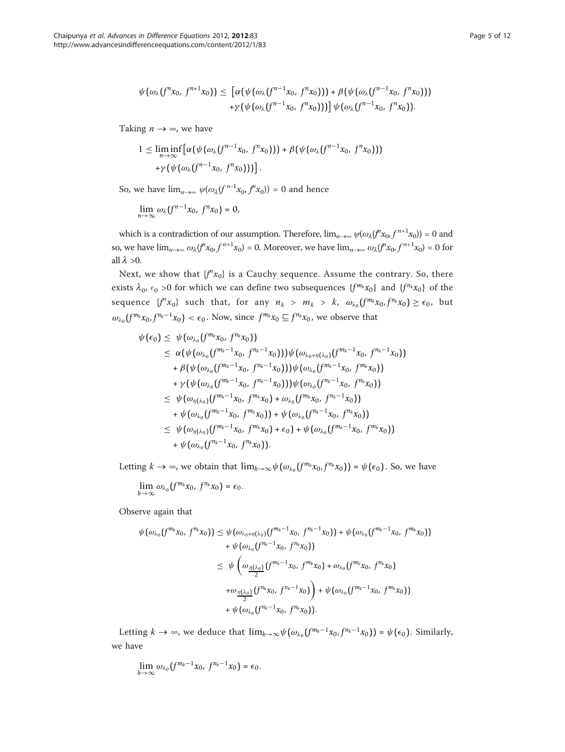$$
\psi(\omega_{\lambda}(f^{n}x_{0}, f^{n+1}x_{0})) \leq [\alpha(\psi(\omega_{\lambda}(f^{n-1}x_{0}, f^{n}x_{0}))) + \beta(\psi(\omega_{\lambda}(f^{n-1}x_{0}, f^{n}x_{0}))) + \gamma(\psi(\omega_{\lambda}(f^{n-1}x_{0}, f^{n}x_{0})))] \psi(\omega_{\lambda}(f^{n-1}x_{0}, f^{n}x_{0})).
$$

Taking  $n \to \infty$ , we have

$$
1 \leq \liminf_{n \to \infty} \left[ \alpha(\psi(\omega_\lambda(f^{n-1}x_0, f^n x_0))) + \beta(\psi(\omega_\lambda(f^{n-1}x_0, f^n x_0))) + \gamma(\psi(\omega_\lambda(f^{n-1}x_0, f^n x_0))) \right].
$$

So, we have 
$$
\lim_{n\to\infty} \psi(\omega_\lambda(f^{n-1}x_0, f^nx_0)) = 0
$$
 and hence

$$
\lim_{n\to\infty}\omega_\lambda\big(f^{n-1}x_0,\ f^nx_0\big)=0,
$$

which is a contradiction of our assumption. Therefore,  $\lim_{n\to\infty} \psi(\omega_\lambda(f^n x_0, f^{n+1} x_0)) = 0$  and so, we have  $\lim_{n\to\infty} \omega_\lambda(f^n x_0, f^{n+1} x_0) = 0$ . Moreover, we have  $\lim_{n\to\infty} \omega_\lambda(f^n x_0, f^{n+1} x_0) = 0$  for all  $\lambda > 0$ .

Next, we show that  ${f''x_0}$  is a Cauchy sequence. Assume the contrary. So, there exists  $\lambda_0$ ,  $\epsilon_0 > 0$  for which we can define two subsequences  $\{f^{m_k}x_0\}$  and  $\{f^{n_k}x_0\}$  of the sequence  $\{f^n x_0\}$  such that, for any  $n_k > m_k > k$ ,  $\omega_{\lambda_0}(f^{m_k} x_0, f^{n_k} x_0) \ge \epsilon_0$ , but  $\omega_{\lambda_0} (f^{m_k} x_0, f^{n_k-1} x_0) < \epsilon_0$ . Now, since  $f^{m_k} x_0 \sqsubseteq f^{n_k} x_0$ , we observe that

$$
\psi(\epsilon_{0}) \leq \psi(\omega_{\lambda_{0}}(f^{m_{k}}x_{0}, f^{n_{k}}x_{0})) \n\leq \alpha(\psi(\omega_{\lambda_{0}}(f^{m_{k}-1}x_{0}, f^{n_{k}-1}x_{0})))\psi(\omega_{\lambda_{0}+\eta(\lambda_{0})}(f^{m_{k}-1}x_{0}, f^{n_{k}-1}x_{0})) \n+ \beta(\psi(\omega_{\lambda_{0}}(f^{m_{k}-1}x_{0}, f^{n_{k}-1}x_{0})))\psi(\omega_{\lambda_{0}}(f^{m_{k}-1}x_{0}, f^{m_{k}}x_{0})) \n+ \gamma(\psi(\omega_{\lambda_{0}}(f^{m_{k}-1}x_{0}, f^{n_{k}-1}x_{0})))\psi(\omega_{\lambda_{0}}(f^{n_{k}-1}x_{0}, f^{n_{k}}x_{0})) \n\leq \psi(\omega_{\eta(\lambda_{0})}(f^{m_{k}-1}x_{0}, f^{m_{k}}x_{0}) + \omega_{\lambda_{0}}(f^{m_{k}}x_{0}, f^{n_{k}-1}x_{0})) \n+ \psi(\omega_{\lambda_{0}}(f^{m_{k}-1}x_{0}, f^{m_{k}}x_{0})) + \psi(\omega_{\lambda_{0}}(f^{n_{k}-1}x_{0}, f^{n_{k}}x_{0})) \n\leq \psi(\omega_{\eta(\lambda_{0})}(f^{m_{k}-1}x_{0}, f^{m_{k}}x_{0}) + \epsilon_{0}) + \psi(\omega_{\lambda_{0}}(f^{m_{k}-1}x_{0}, f^{m_{k}}x_{0})) \n+ \psi(\omega_{\lambda_{0}}(f^{n_{k}-1}x_{0}, f^{n_{k}}x_{0})).
$$

Letting  $k \to \infty$ , we obtain that  $\lim_{k\to\infty} \psi(\omega_{\lambda_0}(f^{m_k}x_0, f^{n_k}x_0)) = \psi(\epsilon_0)$ . So, we have

 $\lim_{k\to\infty}\omega_{\lambda_0}(f^{m_k}x_0, f^{n_k}x_0)=\epsilon_0.$ 

Observe again that

$$
\psi(\omega_{\lambda_0}(f^{m_k}x_0, f^{n_k}x_0)) \leq \psi(\omega_{\lambda_0+\eta(\lambda_0)}(f^{m_k-1}x_0, f^{n_k-1}x_0)) + \psi(\omega_{\lambda_0}(f^{m_k-1}x_0, f^{m_k}x_0)) \n+ \psi(\omega_{\lambda_0}(f^{n_k-1}x_0, f^{n_k}x_0)) \n\leq \psi\left(\omega_{\frac{\eta(\lambda_0)}{2}}(f^{m_k-1}x_0, f^{m_k}x_0) + \omega_{\lambda_0}(f^{m_k}x_0, f^{n_k}x_0) \n+ \omega_{\frac{\eta(\lambda_0)}{2}}(f^{n_k}x_0, f^{n_k-1}x_0)\right) + \psi(\omega_{\lambda_0}(f^{m_k-1}x_0, f^{m_k}x_0)) \n+ \psi(\omega_{\lambda_0}(f^{n_k-1}x_0, f^{n_k}x_0)).
$$

Letting  $k \to \infty$ , we deduce that  $\lim_{k\to\infty} \psi(\omega_{\lambda_0}(f^{m_k-1}x_0, f^{n_k-1}x_0)) = \psi(\epsilon_0)$ . Similarly, we have

$$
\lim_{k\to\infty}\omega_{\lambda_0}\big(f^{m_k-1}x_0,\ f^{n_k-1}x_0\big)=\epsilon_0.
$$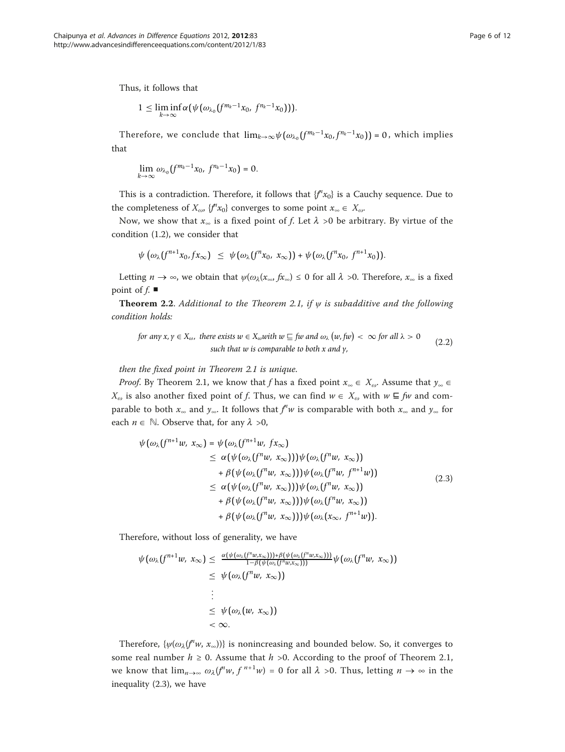Thus, it follows that

$$
1 \leq \liminf_{k\to\infty} \alpha(\psi(\omega_{\lambda_0}(f^{m_k-1}x_0, f^{n_k-1}x_0))).
$$

Therefore, we conclude that  $\lim_{k\to\infty}\psi(\omega_{\lambda_0}(f^{m_k-1}x_0, f^{n_k-1}x_0)) = 0$ , which implies that

$$
\lim_{k\to\infty}\omega_{\lambda_0}(f^{m_k-1}x_0, f^{n_k-1}x_0)=0.
$$

This is a contradiction. Therefore, it follows that  $f''(x_0)$  is a Cauchy sequence. Due to the completeness of  $X_{\omega}$ ,  $\{f''x_0\}$  converges to some point  $x_{\infty} \in X_{\omega}$ .

Now, we show that  $x_{\infty}$  is a fixed point of f. Let  $\lambda > 0$  be arbitrary. By virtue of the condition (1.2), we consider that

$$
\psi\left(\omega_{\lambda}(f^{n+1}x_0,fx_{\infty})\right) \leq \psi\left(\omega_{\lambda}(f^{n}x_0, x_{\infty})\right) + \psi\left(\omega_{\lambda}(f^{n}x_0, f^{n+1}x_0)\right).
$$

Letting  $n \to \infty$ , we obtain that  $\psi(\omega_\lambda(x_\infty, fx_\infty) \leq 0$  for all  $\lambda > 0$ . Therefore,  $x_\infty$  is a fixed point of  $f$ .

**Theorem 2.2**. Additional to the Theorem 2.1, if  $\psi$  is subadditive and the following condition holds:

for any 
$$
x, y \in X_{\omega}
$$
, there exists  $w \in X_{\omega}$  with  $w \sqsubseteq$  *fw* and  $\omega_{\lambda}(w, fw) < \infty$  for all  $\lambda > 0$   
such that *w* is comparable to both *x* and *y*, (2.2)

then the fixed point in Theorem 2.1 is unique.

*Proof.* By Theorem 2.1, we know that f has a fixed point  $x_{\infty} \in X_{\omega}$ . Assume that  $y_{\infty} \in X_{\omega}$  $X_{\omega}$  is also another fixed point of f. Thus, we can find  $w \in X_{\omega}$  with  $w \subseteq fw$  and comparable to both  $x_{\infty}$  and  $y_{\infty}$ . It follows that  $f^iw$  is comparable with both  $x_{\infty}$  and  $y_{\infty}$  for each  $n \in \mathbb{N}$ . Observe that, for any  $\lambda > 0$ ,

$$
\psi(\omega_{\lambda}(f^{n+1}w, x_{\infty}) = \psi(\omega_{\lambda}(f^{n+1}w, fx_{\infty})
$$
\n
$$
\leq \alpha(\psi(\omega_{\lambda}(f^{n}w, x_{\infty})))\psi(\omega_{\lambda}(f^{n}w, x_{\infty}))
$$
\n
$$
+ \beta(\psi(\omega_{\lambda}(f^{n}w, x_{\infty})))\psi(\omega_{\lambda}(f^{n}w, f^{n+1}w))
$$
\n
$$
\leq \alpha(\psi(\omega_{\lambda}(f^{n}w, x_{\infty})))\psi(\omega_{\lambda}(f^{n}w, x_{\infty}))
$$
\n
$$
+ \beta(\psi(\omega_{\lambda}(f^{n}w, x_{\infty})))\psi(\omega_{\lambda}(f^{n}w, x_{\infty}))
$$
\n
$$
+ \beta(\psi(\omega_{\lambda}(f^{n}w, x_{\infty})))\psi(\omega_{\lambda}(x_{\infty}, f^{n+1}w)).
$$
\n(2.3)

Therefore, without loss of generality, we have

$$
\psi(\omega_{\lambda}(f^{n+1}w, x_{\infty}) \leq \frac{\alpha(\psi(\omega_{\lambda}(f^{n}w, x_{\infty}))) + \beta(\psi(\omega_{\lambda}(f^{n}w, x_{\infty})))}{1 - \beta(\psi(\omega_{\lambda}(f^{n}w, x_{\infty})))} \psi(\omega_{\lambda}(f^{n}w, x_{\infty}))
$$
\n
$$
\leq \psi(\omega_{\lambda}(f^{n}w, x_{\infty}))
$$
\n
$$
\vdots
$$
\n
$$
\leq \psi(\omega_{\lambda}(w, x_{\infty}))
$$
\n
$$
< \infty.
$$

Therefore,  $\{\psi(\omega_{\lambda}(f^{n}w, x_{\infty}))\}$  is nonincreasing and bounded below. So, it converges to some real number  $h \ge 0$ . Assume that  $h > 0$ . According to the proof of Theorem 2.1, we know that  $\lim_{n\to\infty} \omega_\lambda(f^n w, f^{n+1} w) = 0$  for all  $\lambda > 0$ . Thus, letting  $n \to \infty$  in the inequality (2.3), we have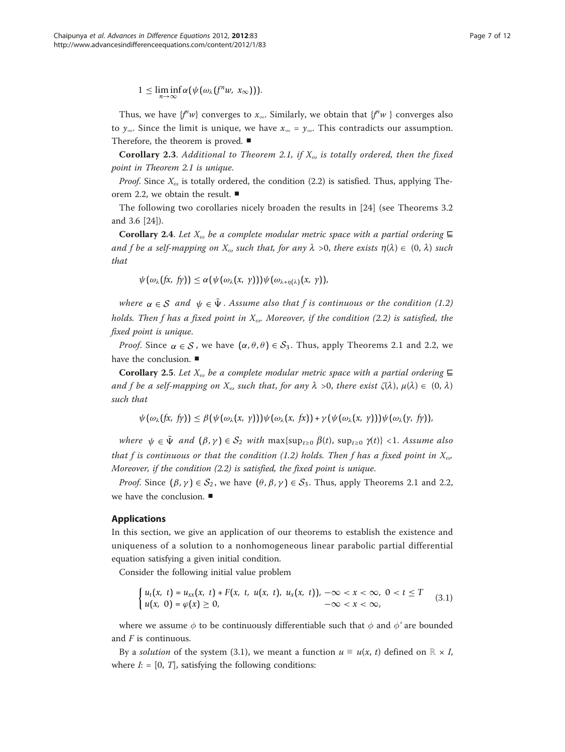$1 \leq \liminf_{n \to \infty} \alpha(\psi(\omega_\lambda(f^n w, x_\infty))).$ 

Thus, we have  $\{f^n w\}$  converges to  $x_{\infty}$ . Similarly, we obtain that  $\{f^n w\}$  converges also to  $y_{\infty}$ . Since the limit is unique, we have  $x_{\infty} = y_{\infty}$ . This contradicts our assumption. Therefore, the theorem is proved. ■

**Corollary 2.3.** Additional to Theorem 2.1, if  $X_{\omega}$  is totally ordered, then the fixed point in Theorem 2.1 is unique.

*Proof.* Since  $X_{\omega}$  is totally ordered, the condition (2.2) is satisfied. Thus, applying Theorem 2.2, we obtain the result. ■

The following two corollaries nicely broaden the results in [[24\]](#page-11-0) (see Theorems 3.2 and 3.6 [\[24\]](#page-11-0)).

Corollary 2.4. Let  $X_{\omega}$  be a complete modular metric space with a partial ordering  $\boldsymbol{\Xi}$ and f be a self-mapping on  $X_{\omega}$  such that, for any  $\lambda > 0$ , there exists  $\eta(\lambda) \in (0, \lambda)$  such that

 $\psi(\omega_\lambda(fx, f_y)) \leq \alpha(\psi(\omega_\lambda(x, y)))\psi(\omega_{\lambda+n(\lambda)}(x, y)),$ 

where  $\alpha \in S$  and  $\psi \in \bar{\Psi}$ . Assume also that f is continuous or the condition (1.2) holds. Then f has a fixed point in  $X_{\alpha}$ . Moreover, if the condition (2.2) is satisfied, the fixed point is unique.

*Proof.* Since  $\alpha \in S$ , we have  $(\alpha, \theta, \theta) \in S_3$ . Thus, apply Theorems 2.1 and 2.2, we have the conclusion. ■

**Corollary 2.5.** Let  $X_{\omega}$  be a complete modular metric space with a partial ordering ⊑ and f be a self-mapping on  $X_{\omega}$  such that, for any  $\lambda > 0$ , there exist  $\zeta(\lambda)$ ,  $\mu(\lambda) \in (0, \lambda)$ such that

 $\psi(\omega_\lambda(fx, f_y)) \leq \beta(\psi(\omega_\lambda(x, y)))\psi(\omega_\lambda(x, f_x)) + \gamma(\psi(\omega_\lambda(x, y)))\psi(\omega_\lambda(y, f_y)),$ 

where  $\psi \in \bar{\Psi}$  and  $(\beta, \gamma) \in S_2$  with max{sup<sub>t≥0</sub>  $\beta(t)$ , sup<sub>t≥0</sub>  $\gamma(t)$ } <1. Assume also that f is continuous or that the condition (1.2) holds. Then f has a fixed point in  $X_{\omega}$ . Moreover, if the condition (2.2) is satisfied, the fixed point is unique.

*Proof.* Since  $(\beta, \gamma) \in S_2$ , we have  $(\theta, \beta, \gamma) \in S_3$ . Thus, apply Theorems 2.1 and 2.2, we have the conclusion. ■

# Applications

In this section, we give an application of our theorems to establish the existence and uniqueness of a solution to a nonhomogeneous linear parabolic partial differential equation satisfying a given initial condition.

Consider the following initial value problem

$$
\begin{cases} u_t(x, t) = u_{xx}(x, t) + F(x, t, u(x, t), u_x(x, t)), -\infty < x < \infty, 0 < t \leq T \\ u(x, 0) = \varphi(x) \geq 0, & -\infty < x < \infty, \end{cases}
$$
(3.1)

where we assume  $\phi$  to be continuously differentiable such that  $\phi$  and  $\phi'$  are bounded and F is continuous.

By a solution of the system (3.1), we meant a function  $u \equiv u(x, t)$  defined on  $\mathbb{R} \times I$ , where  $I: = [0, T]$ , satisfying the following conditions: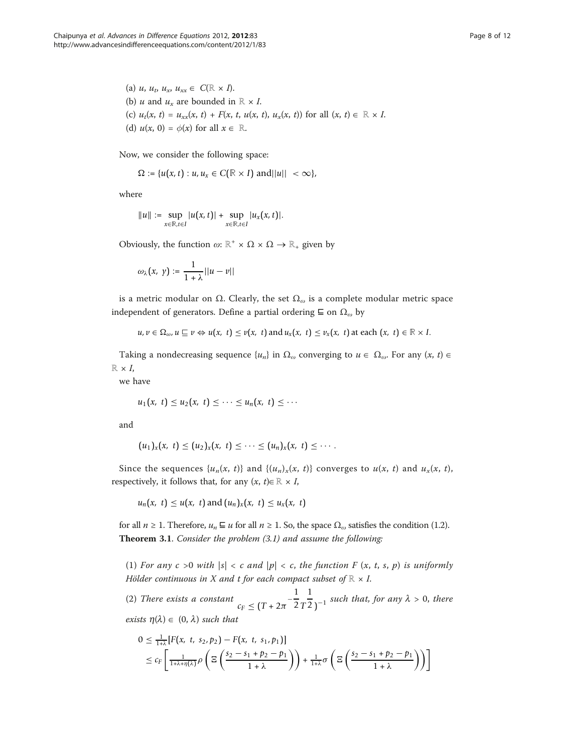(a)  $u, u_t, u_x, u_{xx} \in C(\mathbb{R} \times I).$ (b) *u* and  $u_x$  are bounded in  $\mathbb{R} \times I$ . (c)  $u_t(x, t) = u_{xx}(x, t) + F(x, t, u(x, t), u_x(x, t))$  for all  $(x, t) \in \mathbb{R} \times I$ . (d)  $u(x, 0) = \phi(x)$  for all  $x \in \mathbb{R}$ .

Now, we consider the following space:

 $\Omega := \{u(x, t) : u, u_x \in C(\mathbb{R} \times I) \text{ and } ||u|| < \infty \},\$ 

where

$$
||u|| := \sup_{x \in \mathbb{R}, t \in I} |u(x, t)| + \sup_{x \in \mathbb{R}, t \in I} |u_x(x, t)|.
$$

Obviously, the function  $\omega: \mathbb{R}^+ \times \Omega \times \Omega \to \mathbb{R}_+$  given by

$$
\omega_\lambda\big(x, \ y\big) := \frac{1}{1+\lambda} ||u - v||
$$

is a metric modular on  $Ω$ . Clearly, the set  $Ω<sub>ω</sub>$  is a complete modular metric space independent of generators. Define a partial ordering  $\subseteq$  on  $\Omega_{\omega}$  by

$$
u, v \in \Omega_{\omega}, u \sqsubseteq v \Leftrightarrow u(x, t) \le v(x, t)
$$
 and  $u_x(x, t) \le v_x(x, t)$  at each  $(x, t) \in \mathbb{R} \times I$ .

Taking a nondecreasing sequence  $\{u_n\}$  in  $\Omega_\omega$  converging to  $u \in \Omega_\omega$ . For any  $(x, t) \in$  $\mathbb{R} \times I$ ,

we have

$$
u_1(x, t) \leq u_2(x, t) \leq \cdots \leq u_n(x, t) \leq \cdots
$$

and

$$
(u_1)_x(x, t) \le (u_2)_x(x, t) \le \cdots \le (u_n)_x(x, t) \le \cdots
$$

Since the sequences  $\{u_n(x, t)\}$  and  $\{(u_n)_x(x, t)\}$  converges to  $u(x, t)$  and  $u_x(x, t)$ , respectively, it follows that, for any  $(x, t) \in \mathbb{R} \times I$ ,

 $u_n(x, t) \le u(x, t)$  and  $(u_n)_x(x, t) \le u_x(x, t)$ 

for all  $n \ge 1$ . Therefore,  $u_n \sqsubseteq u$  for all  $n \ge 1$ . So, the space  $\Omega_{\omega}$  satisfies the condition (1.2). Theorem 3.1. Consider the problem (3.1) and assume the following:

(1) For any  $c > 0$  with  $|s| < c$  and  $|p| < c$ , the function F  $(x, t, s, p)$  is uniformly Hölder continuous in X and t for each compact subset of  $\mathbb{R} \times I$ .

(2) There exists a constant  $c_F \le (T + 2\pi)^{-1}$ 1 2 *T*  $\frac{1}{2}$ <sub>)</sub><sup>-1</sup> such that, for any  $\lambda > 0$ , there exists  $\eta(\lambda) \in (0, \lambda)$  such that

$$
0 \leq \frac{1}{1+\lambda} [F(x, t, s_2, p_2) - F(x, t, s_1, p_1)]
$$
  
 
$$
\leq c_F \left[ \frac{1}{1+\lambda + \eta(\lambda)} \rho \left( \Xi \left( \frac{s_2 - s_1 + p_2 - p_1}{1+\lambda} \right) \right) + \frac{1}{1+\lambda} \sigma \left( \Xi \left( \frac{s_2 - s_1 + p_2 - p_1}{1+\lambda} \right) \right) \right]
$$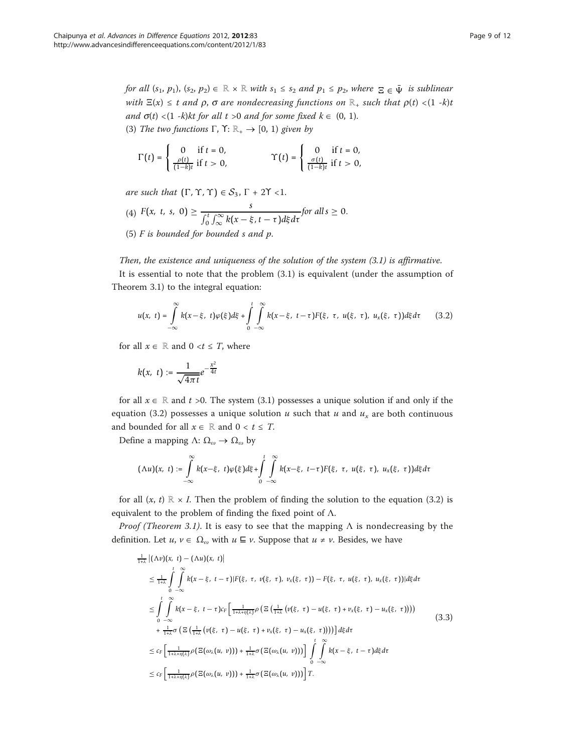for all  $(s_1, p_1)$ ,  $(s_2, p_2) \in \mathbb{R} \times \mathbb{R}$  with  $s_1 \leq s_2$  and  $p_1 \leq p_2$ , where  $\Xi \in \bar{\Psi}$  is sublinear with  $\Xi(x) \leq t$  and  $\rho$ ,  $\sigma$  are nondecreasing functions on  $\mathbb{R}_+$  such that  $\rho(t) < (1 - k)t$ and  $\sigma(t)$  <(1 -k)kt for all t >0 and for some fixed  $k \in (0, 1)$ . (3) The two functions  $\Gamma$ ,  $\Upsilon$ :  $\mathbb{R}_+ \rightarrow [0, 1)$  given by

$$
\Gamma(t)=\left\{\begin{array}{ll}0 & \text{if }t=0,\\ \frac{\rho(t)}{(1-k)t} & \text{if }t>0,\end{array}\right.\qquad \qquad \Upsilon(t)=\left\{\begin{array}{ll}0 & \text{if }t=0,\\ \frac{\sigma(t)}{(1-k)t} & \text{if }t>0,\end{array}\right.
$$

are such that  $(\Gamma, \Upsilon, \Upsilon) \in S_3$ ,  $\Gamma$  + 2 $\Upsilon$  < 1.

(4) 
$$
F(x, t, s, 0) \ge \frac{s}{\int_0^t \int_{\infty}^{\infty} k(x - \xi, t - \tau) d\xi d\tau}
$$
 for all  $s \ge 0$ .

(5)  $F$  is bounded for bounded  $s$  and  $p$ .

# Then, the existence and uniqueness of the solution of the system (3.1) is affirmative.

It is essential to note that the problem (3.1) is equivalent (under the assumption of Theorem 3.1) to the integral equation:

$$
u(x, t) = \int_{-\infty}^{\infty} k(x-\xi, t)\varphi(\xi)d\xi + \int_{0}^{t} \int_{-\infty}^{\infty} k(x-\xi, t-\tau)F(\xi, \tau, u(\xi, \tau), u_x(\xi, \tau))d\xi d\tau
$$
 (3.2)

for all  $x \in \mathbb{R}$  and  $0 \le t \le T$ , where

$$
k(x, t) := \frac{1}{\sqrt{4\pi t}}e^{-\frac{x^2}{4t}}
$$

for all  $x \in \mathbb{R}$  and t >0. The system (3.1) possesses a unique solution if and only if the equation (3.2) possesses a unique solution u such that u and  $u_x$  are both continuous and bounded for all  $x \in \mathbb{R}$  and  $0 < t \leq T$ .

Define a mapping Λ:  $\Omega_{\omega} \rightarrow \Omega_{\omega}$  by

$$
(\Lambda u)(x,\;t):=\int\limits_{-\infty}^{\infty}k(x-\xi,\;t)\varphi(\xi)d\xi+\int\limits_{0}^{t}\int\limits_{-\infty}^{\infty}k(x-\xi,\;t-\tau)F(\xi,\;\tau,\;u(\xi,\;\tau),\;u_{x}(\xi,\;\tau))d\xi d\tau
$$

for all  $(x, t) \mathbb{R} \times I$ . Then the problem of finding the solution to the equation (3.2) is equivalent to the problem of finding the fixed point of  $\Lambda$ .

*Proof (Theorem 3.1).* It is easy to see that the mapping  $\Lambda$  is nondecreasing by the definition. Let  $u, v \in \Omega_{\omega}$  with  $u \subseteq v$ . Suppose that  $u \neq v$ . Besides, we have

$$
\frac{1}{1+\lambda} \left| (\Lambda v)(x, t) - (\Lambda u)(x, t) \right|
$$
\n
$$
\leq \frac{1}{1+\lambda} \int_{0}^{t} \int_{-\infty}^{\infty} k(x - \xi, t - \tau) |F(\xi, \tau, v(\xi, \tau), v_x(\xi, \tau)) - F(\xi, \tau, u(\xi, \tau), u_x(\xi, \tau))| d\xi d\tau
$$
\n
$$
\leq \int_{0}^{t} \int_{-\infty}^{\infty} k(x - \xi, t - \tau) c_F \left[ \frac{1}{1+\lambda + \eta(\lambda)} \rho \left( \Xi \left( \frac{1}{1+\lambda} \left( v(\xi, \tau) - u(\xi, \tau) + v_x(\xi, \tau) - u_x(\xi, \tau) \right) \right) \right) + \frac{1}{1+\lambda} \sigma \left( \Xi \left( \frac{1}{1+\lambda} \left( v(\xi, \tau) - u(\xi, \tau) + v_x(\xi, \tau) - u_x(\xi, \tau) \right) \right) \right) \right] d\xi d\tau
$$
\n
$$
\leq c_F \left[ \frac{1}{1+\lambda + \eta(\lambda)} \rho \left( \Xi(\omega_{\lambda}(u, v)) \right) + \frac{1}{1+\lambda} \sigma \left( \Xi(\omega_{\lambda}(u, v)) \right) \right] \int_{0}^{t} \int_{-\infty}^{\infty} k(x - \xi, t - \tau) d\xi d\tau
$$
\n
$$
\leq c_F \left[ \frac{1}{1+\lambda + \eta(\lambda)} \rho \left( \Xi(\omega_{\lambda}(u, v)) \right) + \frac{1}{1+\lambda} \sigma \left( \Xi(\omega_{\lambda}(u, v)) \right) \right] T.
$$
\n(3.3)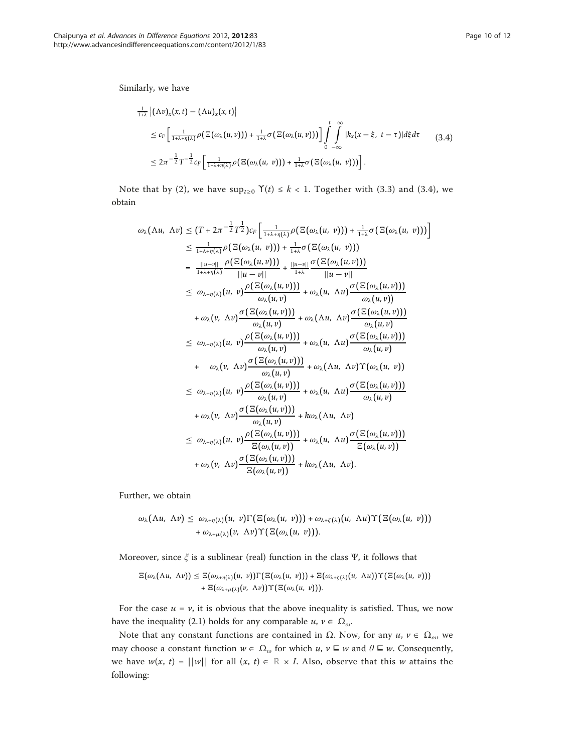$$
\frac{1}{1+\lambda} |(\Lambda v)_x(x,t) - (\Lambda u)_x(x,t)|
$$
\n
$$
\leq c_F \left[ \frac{1}{1+\lambda + \eta(\lambda)} \rho \left( \Xi(\omega_\lambda(u,v)) \right) + \frac{1}{1+\lambda} \sigma \left( \Xi(\omega_\lambda(u,v)) \right) \right] \int_0^t \int_{-\infty}^{\infty} |k_x(x-\xi, t-\tau)| d\xi d\tau \qquad (3.4)
$$
\n
$$
\leq 2\pi^{-\frac{1}{2}} T^{-\frac{1}{2}} c_F \left[ \frac{1}{1+\lambda + \eta(\lambda)} \rho \left( \Xi(\omega_\lambda(u,v)) \right) + \frac{1}{1+\lambda} \sigma \left( \Xi(\omega_\lambda(u,v)) \right) \right].
$$

Note that by (2), we have  $\sup_{t\geq0} \Upsilon(t) \leq k < 1$ . Together with (3.3) and (3.4), we obtain

$$
\omega_{\lambda}(\Lambda u, \Lambda v) \leq (T + 2\pi^{-\frac{1}{2}} T^{\frac{1}{2}}) c_{F} \left[ \frac{1}{1 + \lambda + \eta(\lambda)} \rho \left( \Xi(\omega_{\lambda}(u, v)) \right) + \frac{1}{1 + \lambda} \sigma \left( \Xi(\omega_{\lambda}(u, v)) \right) \right]
$$
\n
$$
\leq \frac{1}{1 + \lambda + \eta(\lambda)} \rho \left( \Xi(\omega_{\lambda}(u, v)) \right) + \frac{1}{1 + \lambda} \sigma \left( \Xi(\omega_{\lambda}(u, v)) \right)
$$
\n
$$
= \frac{||u - v||}{1 + \lambda + \eta(\lambda)} \frac{\rho \left( \Xi(\omega_{\lambda}(u, v)) \right)}{||u - v||} + \frac{||u - v||}{1 + \lambda} \frac{\sigma \left( \Xi(\omega_{\lambda}(u, v)) \right)}{||u - v||}
$$
\n
$$
\leq \omega_{\lambda + \eta(\lambda)}(u, v) \frac{\rho \left( \Xi(\omega_{\lambda}(u, v)) \right)}{\omega_{\lambda}(u, v)} + \omega_{\lambda}(u, \Lambda u) \frac{\sigma \left( \Xi(\omega_{\lambda}(u, v)) \right)}{\omega_{\lambda}(u, v)}
$$
\n
$$
+ \omega_{\lambda}(v, \Lambda v) \frac{\sigma \left( \Xi(\omega_{\lambda}(u, v)) \right)}{\omega_{\lambda}(u, v)} + \omega_{\lambda}(\Lambda u, \Lambda v) \frac{\sigma \left( \Xi(\omega_{\lambda}(u, v)) \right)}{\omega_{\lambda}(u, v)}
$$
\n
$$
\leq \omega_{\lambda + \eta(\lambda)}(u, v) \frac{\rho \left( \Xi(\omega_{\lambda}(u, v)) \right)}{\omega_{\lambda}(u, v)} + \omega_{\lambda}(u, \Lambda u) \frac{\sigma \left( \Xi(\omega_{\lambda}(u, v)) \right)}{\omega_{\lambda}(u, v)}
$$
\n
$$
+ \omega_{\lambda}(v, \Lambda v) \frac{\sigma \left( \Xi(\omega_{\lambda}(u, v)) \right)}{\omega_{\lambda}(u, v)} + \omega_{\lambda}(\Lambda u, \Lambda v) \Upsilon(\omega_{\lambda}(u, v))
$$
\n
$$
\leq \omega_{\lambda + \eta(\lambda)}(u, v) \frac{\rho \left( \Xi(\omega_{\lambda}(u, v)) \right)}{\omega_{\lambda}(u, v)} + \omega_{\lambda}(u, \Lambda u
$$

Further, we obtain

$$
\omega_{\lambda}(\Lambda u, \Lambda v) \leq \omega_{\lambda + \eta(\lambda)}(u, v) \Gamma(\Xi(\omega_{\lambda}(u, v))) + \omega_{\lambda + \zeta(\lambda)}(u, \Lambda u) \Upsilon(\Xi(\omega_{\lambda}(u, v))) + \omega_{\lambda + \mu(\lambda)}(v, \Lambda v) \Upsilon(\Xi(\omega_{\lambda}(u, v))).
$$

Moreover, since  $\xi$  is a sublinear (real) function in the class Ψ, it follows that

$$
\mathbb{E}(\omega_{\lambda}(\Lambda u, \Lambda v)) \leq \mathbb{E}(\omega_{\lambda + \eta(\lambda)}(u, v)) \Gamma(\mathbb{E}(\omega_{\lambda}(u, v))) + \mathbb{E}(\omega_{\lambda + \zeta(\lambda)}(u, \Lambda u)) \Upsilon(\mathbb{E}(\omega_{\lambda}(u, v))) + \mathbb{E}(\omega_{\lambda + \mu(\lambda)}(v, \Lambda v)) \Upsilon(\mathbb{E}(\omega_{\lambda}(u, v))).
$$

For the case  $u = v$ , it is obvious that the above inequality is satisfied. Thus, we now have the inequality (2.1) holds for any comparable  $u, v \in \Omega_{\omega}$ .

Note that any constant functions are contained in  $Ω$ . Now, for any  $u, v ∈ Ω<sub>ω</sub>$ , we may choose a constant function  $w \in \Omega_\omega$  for which  $u, v \sqsubseteq w$  and  $\theta \sqsubseteq w$ . Consequently, we have  $w(x, t) = ||w||$  for all  $(x, t) \in \mathbb{R} \times I$ . Also, observe that this w attains the following: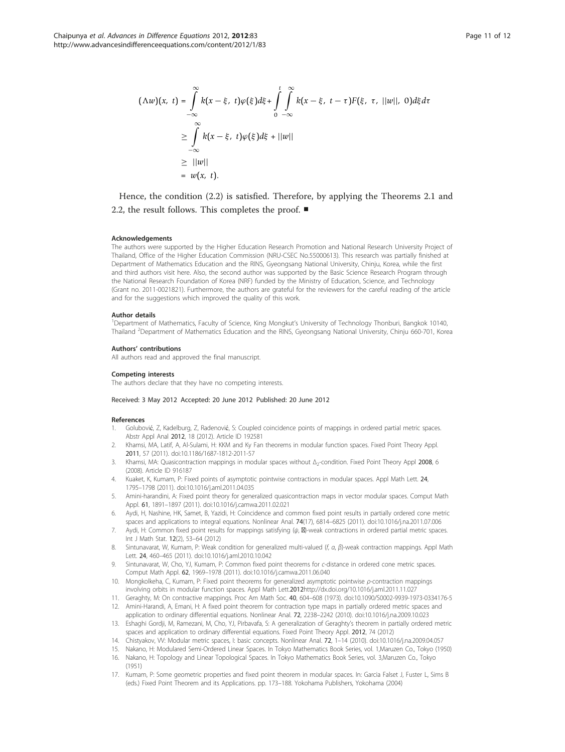<span id="page-10-0"></span>
$$
(\Lambda w)(x, t) = \int_{-\infty}^{\infty} k(x - \xi, t)\varphi(\xi)d\xi + \int_{0}^{t} \int_{-\infty}^{\infty} k(x - \xi, t - \tau)F(\xi, \tau, ||w||, 0)d\xi d\tau
$$
  

$$
\geq \int_{-\infty}^{\infty} k(x - \xi, t)\varphi(\xi)d\xi + ||w||
$$
  

$$
\geq ||w||
$$
  

$$
= w(x, t).
$$

Hence, the condition (2.2) is satisfied. Therefore, by applying the Theorems 2.1 and 2.2, the result follows. This completes the proof. ■

#### Acknowledgements

The authors were supported by the Higher Education Research Promotion and National Research University Project of Thailand, Office of the Higher Education Commission (NRU-CSEC No.55000613). This research was partially finished at Department of Mathematics Education and the RINS, Gyeongsang National University, Chinju, Korea, while the first and third authors visit here. Also, the second author was supported by the Basic Science Research Program through the National Research Foundation of Korea (NRF) funded by the Ministry of Education, Science, and Technology (Grant no. 2011-0021821). Furthermore, the authors are grateful for the reviewers for the careful reading of the article and for the suggestions which improved the quality of this work.

#### Author details

1 Department of Mathematics, Faculty of Science, King Mongkut's University of Technology Thonburi, Bangkok 10140, Thailand <sup>2</sup>Department of Mathematics Education and the RINS, Gyeongsang National University, Chinju 660-701, Korea

#### Authors' contributions

All authors read and approved the final manuscript.

#### Competing interests

The authors declare that they have no competing interests.

#### Received: 3 May 2012 Accepted: 20 June 2012 Published: 20 June 2012

#### References

- Golubović, Z, Kadelburg, Z, Radenović, S: Coupled coincidence points of mappings in ordered partial metric spaces. Abstr Appl Anal 2012, 18 (2012). Article ID 192581
- 2. Khamsi, MA, Latif, A, Al-Sulami, H: KKM and Ky Fan theorems in modular function spaces. Fixed Point Theory Appl. 2011, 57 (2011). doi:10.1186/1687-1812-2011-57
- 3. Khamsi, MA: Quasicontraction mappings in modular spaces without Δ<sub>2</sub>-condition. Fixed Point Theory Appl 2008, 6 (2008). Article ID 916187
- Kuaket, K, Kumam, P: Fixed points of asymptotic pointwise contractions in modular spaces. Appl Math Lett. 24, 1795–1798 (2011). doi:10.1016/j.aml.2011.04.035
- Amini-harandini, A: Fixed point theory for generalized quasicontraction maps in vector modular spaces. Comput Math Appl. 61, 1891–1897 (2011). doi:10.1016/j.camwa.2011.02.021
- 6. Aydi, H, Nashine, HK, Samet, B, Yazidi, H: Coincidence and common fixed point results in partially ordered cone metric spaces and applications to integral equations. Nonlinear Anal. 74(17), 6814–6825 (2011). doi:10.1016/j.na.2011.07.006
- 7. Aydi, H: Common fixed point results for mappings satisfying  $(\psi, \boxtimes)$ -weak contractions in ordered partial metric spaces. Int J Math Stat. 12(2), 53–64 (2012)
- 8. Sintunavarat, W, Kumam, P: Weak condition for generalized multi-valued (f, a, β)-weak contraction mappings. Appl Math Lett. 24, 460–465 (2011). doi:10.1016/j.aml.2010.10.042
- 9. Sintunavarat, W, Cho, YJ, Kumam, P: Common fixed point theorems for c-distance in ordered cone metric spaces. Comput Math Appl. 62, 1969–1978 (2011). doi:10.1016/j.camwa.2011.06.040
- 10. Mongkolkeha, C, Kumam, P: Fixed point theorems for generalized asymptotic pointwise ρ-contraction mappings involving orbits in modular function spaces. Appl Math Lett.2012<http://dx.doi.org/10.1016/j.aml.2011.11.027>
- 11. Geraghty, M: On contractive mappings. Proc Am Math Soc. 40, 604–608 (1973). doi:10.1090/S0002-9939-1973-0334176-5
- 12. Amini-Harandi, A, Emani, H: A fixed point theorem for contraction type maps in partially ordered metric spaces and application to ordinary differential equations. Nonlinear Anal. 72, 2238–2242 (2010). doi:10.1016/j.na.2009.10.023
- 13. Eshaghi Gordji, M, Ramezani, M, Cho, YJ, Pirbavafa, S: A generalization of Geraghty's theorem in partially ordered metric spaces and application to ordinary differential equations. Fixed Point Theory Appl. 2012, 74 (2012)
- 14. Chistyakov, VV: Modular metric spaces, I: basic concepts. Nonlinear Anal. 72, 1–14 (2010). doi:10.1016/j.na.2009.04.057
- 15. Nakano, H: Modulared Semi-Ordered Linear Spaces. In Tokyo Mathematics Book Series, vol. 1,Maruzen Co., Tokyo (1950) 16. Nakano, H: Topology and Linear Topological Spaces. In Tokyo Mathematics Book Series, vol. 3,Maruzen Co., Tokyo (1951)
- 17. Kumam, P: Some geometric properties and fixed point theorem in modular spaces. In: Garcia Falset J, Fuster L, Sims B (eds.) Fixed Point Theorem and its Applications. pp. 173–188. Yokohama Publishers, Yokohama (2004)